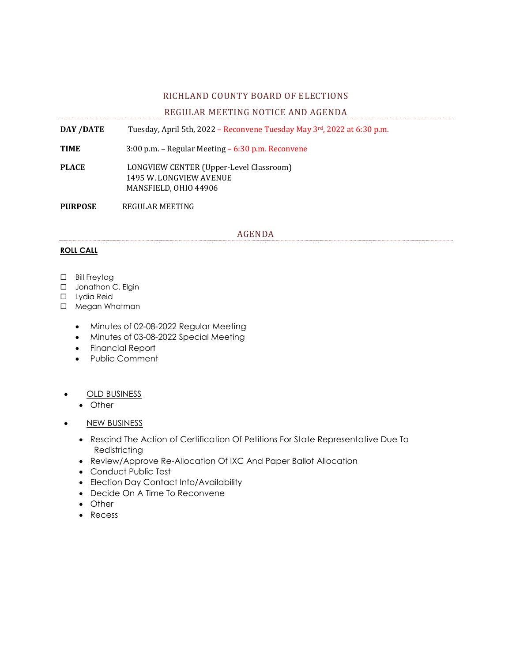## RICHLAND COUNTY BOARD OF ELECTIONS

# REGULAR MEETING NOTICE AND AGENDA

**DAY /DATE** Tuesday, April 5th, 2022 – Reconvene Tuesday May 3rd, 2022 at 6:30 p.m.

**TIME** 3:00 p.m. – Regular Meeting – 6:30 p.m. Reconvene

**PLACE** LONGVIEW CENTER (Upper-Level Classroom) 1495 W. LONGVIEW AVENUE MANSFIELD, OHIO 44906

**PURPOSE** REGULAR MEETING

#### AGENDA

## **ROLL CALL**

- □ Bill Freytag
- □ Jonathon C. Elgin
- □ Lydia Reid
- □ Megan Whatman
	- Minutes of 02-08-2022 Regular Meeting
	- Minutes of 03-08-2022 Special Meeting
	- Financial Report
	- Public Comment
	- OLD BUSINESS
		- Other
	- NEW BUSINESS
		- Rescind The Action of Certification Of Petitions For State Representative Due To Redistricting
		- Review/Approve Re-Allocation Of IXC And Paper Ballot Allocation
		- Conduct Public Test
		- Election Day Contact Info/Availability
		- Decide On A Time To Reconvene
		- Other
		- Recess